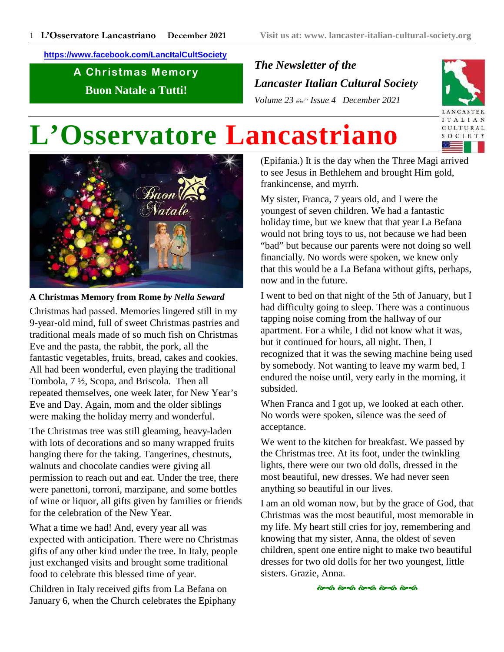**https://www.facebook.com/LancItalCultSociety**

A Christmas Memory **Buon Natale a Tutti!**

*The Newsletter of the Lancaster Italian Cultural Society Volume 23 Issue 4 December 2021*



# **L'Osservatore Lancastriano**



**A Christmas Memory from Rome** *by Nella Seward* Christmas had passed. Memories lingered still in my 9-year-old mind, full of sweet Christmas pastries and traditional meals made of so much fish on Christmas Eve and the pasta, the rabbit, the pork, all the fantastic vegetables, fruits, bread, cakes and cookies. All had been wonderful, even playing the traditional Tombola, 7 ½, Scopa, and Briscola. Then all repeated themselves, one week later, for New Year's Eve and Day. Again, mom and the older siblings were making the holiday merry and wonderful.

The Christmas tree was still gleaming, heavy-laden with lots of decorations and so many wrapped fruits hanging there for the taking. Tangerines, chestnuts, walnuts and chocolate candies were giving all permission to reach out and eat. Under the tree, there were panettoni, torroni, marzipane, and some bottles of wine or liquor, all gifts given by families or friends for the celebration of the New Year.

What a time we had! And, every year all was expected with anticipation. There were no Christmas gifts of any other kind under the tree. In Italy, people just exchanged visits and brought some traditional food to celebrate this blessed time of year.

Children in Italy received gifts from La Befana on January 6, when the Church celebrates the Epiphany (Epifania.) It is the day when the Three Magi arrived to see Jesus in Bethlehem and brought Him gold, frankincense, and myrrh.

My sister, Franca, 7 years old, and I were the youngest of seven children. We had a fantastic holiday time, but we knew that that year La Befana would not bring toys to us, not because we had been "bad" but because our parents were not doing so well financially. No words were spoken, we knew only that this would be a La Befana without gifts, perhaps, now and in the future.

I went to bed on that night of the 5th of January, but I had difficulty going to sleep. There was a continuous tapping noise coming from the hallway of our apartment. For a while, I did not know what it was, but it continued for hours, all night. Then, I recognized that it was the sewing machine being used by somebody. Not wanting to leave my warm bed, I endured the noise until, very early in the morning, it subsided.

When Franca and I got up, we looked at each other. No words were spoken, silence was the seed of acceptance.

We went to the kitchen for breakfast. We passed by the Christmas tree. At its foot, under the twinkling lights, there were our two old dolls, dressed in the most beautiful, new dresses. We had never seen anything so beautiful in our lives.

I am an old woman now, but by the grace of God, that Christmas was the most beautiful, most memorable in my life. My heart still cries for joy, remembering and knowing that my sister, Anna, the oldest of seven children, spent one entire night to make two beautiful dresses for two old dolls for her two youngest, little sisters. Grazie, Anna.

.<br>જ્યારે જ્યારે જ્યારે જ્યારે જ્યારે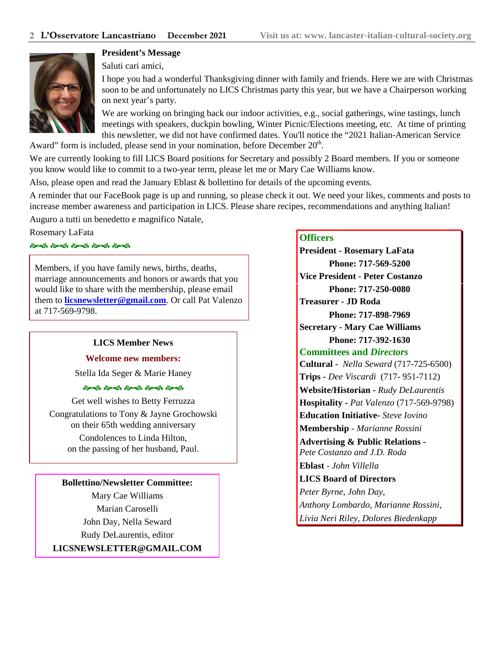

**President's Message**

Saluti cari amici,

I hope you had a wonderful Thanksgiving dinner with family and friends. Here we are with Christmas soon to be and unfortunately no LICS Christmas party this year, but we have a Chairperson working on next year's party.

We are working on bringing back our indoor activities, e.g., social gatherings, wine tastings, lunch meetings with speakers, duckpin bowling, Winter Picnic/Elections meeting, etc. At time of printing this newsletter, we did not have confirmed dates. You'll notice the "2021 Italian-American Service

Award" form is included, please send in your nomination, before December  $20<sup>th</sup>$ .

We are currently looking to fill LICS Board positions for Secretary and possibly 2 Board members. If you or someone you know would like to commit to a two-year term, please let me or Mary Cae Williams know.

Also, please open and read the January Eblast & bollettino for details of the upcoming events.

A reminder that our FaceBook page is up and running, so please check it out. We need your likes, comments and posts to increase member awareness and participation in LICS. Please share recipes, recommendations and anything Italian!

Auguro a tutti un benedetto e magnifico Natale,

Rosemary LaFata

# .<br>જેન્ડી *લે*ન્ડી લેન્ડી લેન્ડી લેન્ડી

Members, if you have family news, births, deaths, marriage announcements and honors or awards that you would like to share with the membership, please email them to **licsnewsletter@gmail.com**. Or call Pat Valenzo at 717-569-9798.

#### **LICS Member News**

**Welcome new members:**

Stella Ida Seger & Marie Haney

#### .<br>જિલ્લી જિલ્લી જિલ્લી જિલ્લી જિલ્લી

Get well wishes to Betty Ferruzza

Congratulations to Tony & Jayne Grochowski on their 65th wedding anniversary Condolences to Linda Hilton, on the passing of her husband, Paul.

#### **Bollettino/Newsletter Committee:**

Mary Cae Williams Marian Caroselli John Day, Nella Seward Rudy DeLaurentis, editor **LICSNEWSLETTER@GMAIL.COM**

#### **Officers**

**President - Rosemary LaFata Phone: 717-569-5200 Vice President - Peter Costanzo Phone: 717-250-0080 Treasurer - JD Roda Phone: 717-898-7969 Secretary - Mary Cae Williams Phone: 717-392-1630 Committees and** *Directors* **Cultural -** *Nella Seward* (717-725-6500) **Trips -** *Dee Viscardi* (717- 951-7112) **Website/Historian -** *Rudy DeLaurentis* **Hospitality -** *Pat Valenzo* (717-569-9798) **Education Initiative-** *Steve Iovino* **Membership** *- Marianne Rossini* **Advertising & Public Relations -** *Pete Costanzo and J.D. Roda* **Eblast** *- John Villella* **LICS Board of Directors** *Peter Byrne, John Day, Anthony Lombardo, Marianne Rossini, Livia Neri Riley, Dolores Biedenkapp*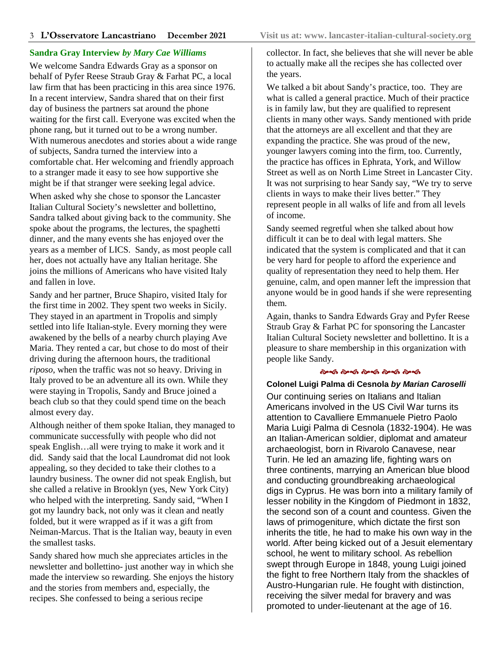## **Sandra Gray Interview** *by Mary Cae Williams*

We welcome Sandra Edwards Gray as a sponsor on behalf of Pyfer Reese Straub Gray & Farhat PC, a local law firm that has been practicing in this area since 1976. In a recent interview, Sandra shared that on their first day of business the partners sat around the phone waiting for the first call. Everyone was excited when the phone rang, but it turned out to be a wrong number. With numerous anecdotes and stories about a wide range of subjects, Sandra turned the interview into a comfortable chat. Her welcoming and friendly approach to a stranger made it easy to see how supportive she might be if that stranger were seeking legal advice.

When asked why she chose to sponsor the Lancaster Italian Cultural Society's newsletter and bollettino, Sandra talked about giving back to the community. She spoke about the programs, the lectures, the spaghetti dinner, and the many events she has enjoyed over the years as a member of LICS. Sandy, as most people call her, does not actually have any Italian heritage. She joins the millions of Americans who have visited Italy and fallen in love.

Sandy and her partner, Bruce Shapiro, visited Italy for the first time in 2002. They spent two weeks in Sicily. They stayed in an apartment in Tropolis and simply settled into life Italian-style. Every morning they were awakened by the bells of a nearby church playing Ave Maria. They rented a car, but chose to do most of their driving during the afternoon hours, the traditional *riposo*, when the traffic was not so heavy. Driving in Italy proved to be an adventure all its own. While they were staying in Tropolis, Sandy and Bruce joined a beach club so that they could spend time on the beach almost every day.

Although neither of them spoke Italian, they managed to communicate successfully with people who did not speak English…all were trying to make it work and it did. Sandy said that the local Laundromat did not look appealing, so they decided to take their clothes to a laundry business. The owner did not speak English, but she called a relative in Brooklyn (yes, New York City) who helped with the interpreting. Sandy said, "When I got my laundry back, not only was it clean and neatly folded, but it were wrapped as if it was a gift from Neiman-Marcus. That is the Italian way, beauty in even the smallest tasks.

Sandy shared how much she appreciates articles in the newsletter and bollettino- just another way in which she made the interview so rewarding. She enjoys the history and the stories from members and, especially, the recipes. She confessed to being a serious recipe

collector. In fact, she believes that she will never be able to actually make all the recipes she has collected over the years.

We talked a bit about Sandy's practice, too. They are what is called a general practice. Much of their practice is in family law, but they are qualified to represent clients in many other ways. Sandy mentioned with pride that the attorneys are all excellent and that they are expanding the practice. She was proud of the new, younger lawyers coming into the firm, too. Currently, the practice has offices in Ephrata, York, and Willow Street as well as on North Lime Street in Lancaster City. It was not surprising to hear Sandy say, "We try to serve clients in ways to make their lives better." They represent people in all walks of life and from all levels of income.

Sandy seemed regretful when she talked about how difficult it can be to deal with legal matters. She indicated that the system is complicated and that it can be very hard for people to afford the experience and quality of representation they need to help them. Her genuine, calm, and open manner left the impression that anyone would be in good hands if she were representing them.

Again, thanks to Sandra Edwards Gray and Pyfer Reese Straub Gray & Farhat PC for sponsoring the Lancaster Italian Cultural Society newsletter and bollettino. It is a pleasure to share membership in this organization with people like Sandy.

# .<br>તેમ્જી તેમ્જી તેમ્જી તેમ્જી તેમ્જી

#### **Colonel Luigi Palma di Cesnola by Marian Caroselli**

Our continuing series on Italians and Italian Americans involved in the US Civil War turns its attention to Cavalliere Emmanuele Pietro Paolo Maria Luigi Palma di Cesnola (1832-1904). He was an Italian-American soldier, diplomat and amateur archaeologist, born in Rivarolo Canavese, near Turin. He led an amazing life, fighting wars on three continents, marrying an American blue blood and conducting groundbreaking archaeological digs in Cyprus. He was born into a military family of lesser nobility in the Kingdom of Piedmont in 1832, the second son of a count and countess. Given the laws of primogeniture, which dictate the first son inherits the title, he had to make his own way in the world. After being kicked out of a Jesuit elementary school, he went to military school. As rebellion swept through Europe in 1848, young Luigi joined the fight to free Northern Italy from the shackles of Austro-Hungarian rule. He fought with distinction, receiving the silver medal for bravery and was promoted to under-lieutenant at the age of 16.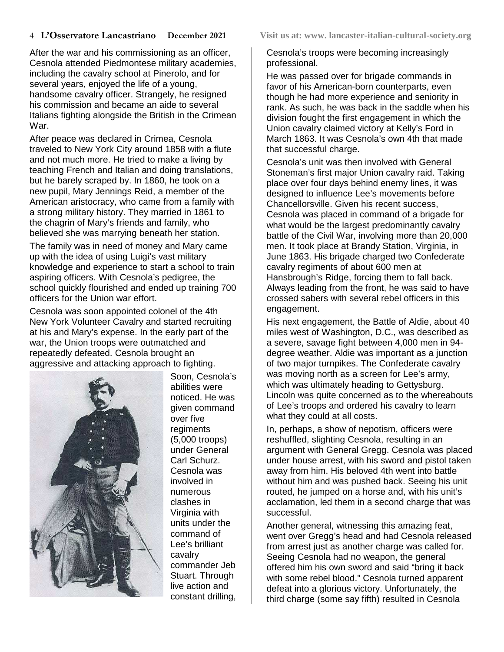After the war and his commissioning as an officer, Cesnola attended Piedmontese military academies, including the cavalry school at Pinerolo, and for several years, enjoyed the life of a young, handsome cavalry officer. Strangely, he resigned his commission and became an aide to several Italians fighting alongside the British in the Crimean War.

After peace was declared in Crimea, Cesnola traveled to New York City around 1858 with a flute and not much more. He tried to make a living by teaching French and Italian and doing translations, but he barely scraped by. In 1860, he took on a new pupil, Mary Jennings Reid, a member of the American aristocracy, who came from a family with a strong military history. They married in 1861 to the chagrin of Mary's friends and family, who believed she was marrying beneath her station.

The family was in need of money and Mary came up with the idea of using Luigi's vast military knowledge and experience to start a school to train aspiring officers. With Cesnola's pedigree, the school quickly flourished and ended up training 700 officers for the Union war effort.

Cesnola was soon appointed colonel of the 4th New York Volunteer Cavalry and started recruiting at his and Mary's expense. In the early part of the war, the Union troops were outmatched and repeatedly defeated. Cesnola brought an aggressive and attacking approach to fighting.



Soon, Cesnola's abilities were noticed. He was given command over five regiments (5,000 troops) under General Carl Schurz. Cesnola was involved in numerous clashes in Virginia with units under the command of Lee's brilliant cavalry commander Jeb Stuart. Through live action and constant drilling,

Cesnola's troops were becoming increasingly professional.

He was passed over for brigade commands in favor of his American-born counterparts, even though he had more experience and seniority in rank. As such, he was back in the saddle when his division fought the first engagement in which the Union cavalry claimed victory at Kelly's Ford in March 1863. It was Cesnola's own 4th that made that successful charge.

Cesnola's unit was then involved with General Stoneman's first major Union cavalry raid. Taking place over four days behind enemy lines, it was designed to influence Lee's movements before Chancellorsville. Given his recent success, Cesnola was placed in command of a brigade for what would be the largest predominantly cavalry battle of the Civil War, involving more than 20,000 men. It took place at Brandy Station, Virginia, in June 1863. His brigade charged two Confederate cavalry regiments of about 600 men at Hansbrough's Ridge, forcing them to fall back. Always leading from the front, he was said to have crossed sabers with several rebel officers in this engagement.

His next engagement, the Battle of Aldie, about 40 miles west of Washington, D.C., was described as a severe, savage fight between 4,000 men in 94 degree weather. Aldie was important as a junction of two major turnpikes. The Confederate cavalry was moving north as a screen for Lee's army, which was ultimately heading to Gettysburg. Lincoln was quite concerned as to the whereabouts of Lee's troops and ordered his cavalry to learn what they could at all costs.

In, perhaps, a show of nepotism, officers were reshuffled, slighting Cesnola, resulting in an argument with General Gregg. Cesnola was placed under house arrest, with his sword and pistol taken away from him. His beloved 4th went into battle without him and was pushed back. Seeing his unit routed, he jumped on a horse and, with his unit's acclamation, led them in a second charge that was successful.

Another general, witnessing this amazing feat, went over Gregg's head and had Cesnola released from arrest just as another charge was called for. Seeing Cesnola had no weapon, the general offered him his own sword and said "bring it back with some rebel blood." Cesnola turned apparent defeat into a glorious victory. Unfortunately, the third charge (some say fifth) resulted in Cesnola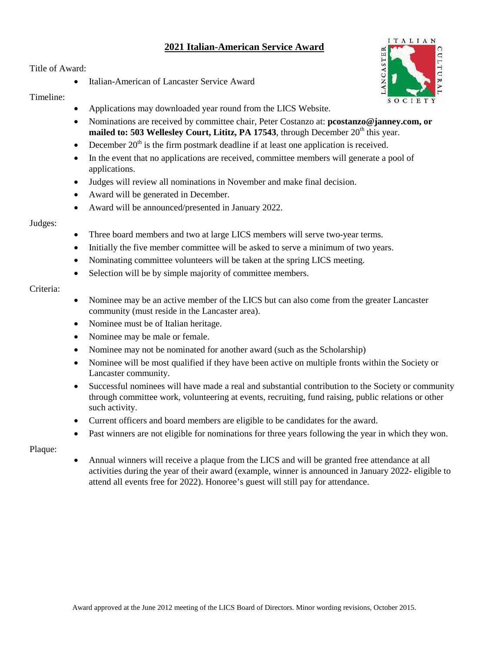# **2021 Italian-American Service Award**

Title of Award:

• Italian-American of Lancaster Service Award

# Timeline:

**ANCASTER** 

**ITALIAN** 

- Applications may downloaded year round from the LICS Website.
- Nominations are received by committee chair, Peter Costanzo at: **pcostanzo@janney.com, or mailed to: 503 Wellesley Court, Lititz, PA 17543**, through December  $20<sup>th</sup>$  this year.
- December  $20<sup>th</sup>$  is the firm postmark deadline if at least one application is received.
- In the event that no applications are received, committee members will generate a pool of applications.
- Judges will review all nominations in November and make final decision.
- Award will be generated in December.
- Award will be announced/presented in January 2022.

### Judges:

- Three board members and two at large LICS members will serve two-year terms.
- Initially the five member committee will be asked to serve a minimum of two years.
- Nominating committee volunteers will be taken at the spring LICS meeting.
- Selection will be by simple majority of committee members.

### Criteria:

- Nominee may be an active member of the LICS but can also come from the greater Lancaster community (must reside in the Lancaster area).
- Nominee must be of Italian heritage.
- Nominee may be male or female.
- Nominee may not be nominated for another award (such as the Scholarship)
- Nominee will be most qualified if they have been active on multiple fronts within the Society or Lancaster community.
- Successful nominees will have made a real and substantial contribution to the Society or community through committee work, volunteering at events, recruiting, fund raising, public relations or other such activity.
- Current officers and board members are eligible to be candidates for the award.
- Past winners are not eligible for nominations for three years following the year in which they won.

#### Plaque:

• Annual winners will receive a plaque from the LICS and will be granted free attendance at all activities during the year of their award (example, winner is announced in January 2022- eligible to attend all events free for 2022). Honoree's guest will still pay for attendance.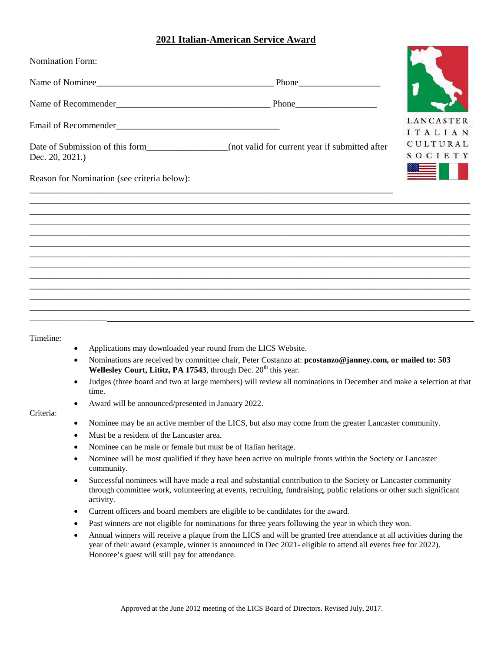# **2021 Italian-American Service Award**

| <b>Nomination Form:</b>                                                                                             |                      |
|---------------------------------------------------------------------------------------------------------------------|----------------------|
| Name of Nominee                                                                                                     |                      |
|                                                                                                                     |                      |
|                                                                                                                     | LANCASTER<br>ITALIAN |
| Date of Submission of this form___________________(not valid for current year if submitted after<br>Dec. 20, 2021.) | CULTURAL<br>SOCIETY  |
| Reason for Nomination (see criteria below):                                                                         |                      |
|                                                                                                                     |                      |
|                                                                                                                     |                      |
|                                                                                                                     |                      |
|                                                                                                                     |                      |
|                                                                                                                     |                      |
|                                                                                                                     |                      |
|                                                                                                                     |                      |

Timeline:

- Applications may downloaded year round from the LICS Website.
- Nominations are received by committee chair, Peter Costanzo at: **pcostanzo@janney.com, or mailed to: 503 Wellesley Court, Lititz, PA 17543**, through Dec.  $20<sup>th</sup>$  this year.
- Judges (three board and two at large members) will review all nominations in December and make a selection at that time.
- Award will be announced/presented in January 2022.

#### Criteria:

- Nominee may be an active member of the LICS, but also may come from the greater Lancaster community.
- Must be a resident of the Lancaster area.
- Nominee can be male or female but must be of Italian heritage.
- Nominee will be most qualified if they have been active on multiple fronts within the Society or Lancaster community.
- Successful nominees will have made a real and substantial contribution to the Society or Lancaster community through committee work, volunteering at events, recruiting, fundraising, public relations or other such significant activity.
- Current officers and board members are eligible to be candidates for the award.
- Past winners are not eligible for nominations for three years following the year in which they won.
- Annual winners will receive a plaque from the LICS and will be granted free attendance at all activities during the year of their award (example, winner is announced in Dec 2021- eligible to attend all events free for 2022). Honoree's guest will still pay for attendance.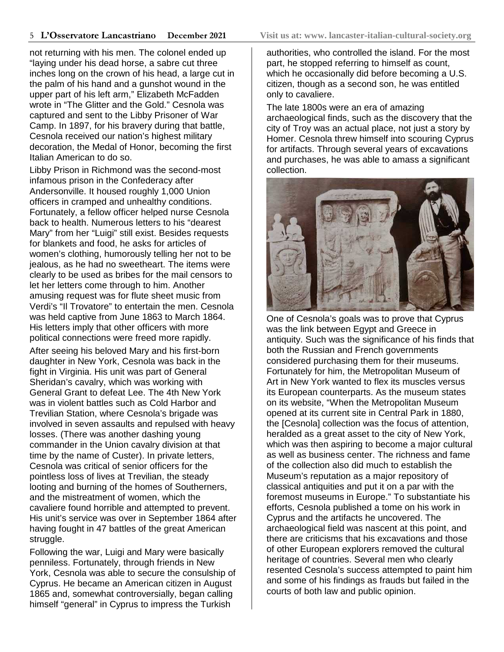not returning with his men. The colonel ended up "laying under his dead horse, a sabre cut three inches long on the crown of his head, a large cut in the palm of his hand and a gunshot wound in the upper part of his left arm," Elizabeth McFadden wrote in "The Glitter and the Gold." Cesnola was captured and sent to the Libby Prisoner of War Camp. In 1897, for his bravery during that battle, Cesnola received our nation's highest military decoration, the Medal of Honor, becoming the first Italian American to do so.

Libby Prison in Richmond was the second-most infamous prison in the Confederacy after Andersonville. It housed roughly 1,000 Union officers in cramped and unhealthy conditions. Fortunately, a fellow officer helped nurse Cesnola back to health. Numerous letters to his "dearest Mary" from her "Luigi" still exist. Besides requests for blankets and food, he asks for articles of women's clothing, humorously telling her not to be jealous, as he had no sweetheart. The items were clearly to be used as bribes for the mail censors to let her letters come through to him. Another amusing request was for flute sheet music from Verdi's "Il Trovatore" to entertain the men. Cesnola was held captive from June 1863 to March 1864. His letters imply that other officers with more political connections were freed more rapidly.

After seeing his beloved Mary and his first-born daughter in New York, Cesnola was back in the fight in Virginia. His unit was part of General Sheridan's cavalry, which was working with General Grant to defeat Lee. The 4th New York was in violent battles such as Cold Harbor and Trevilian Station, where Cesnola's brigade was involved in seven assaults and repulsed with heavy losses. (There was another dashing young commander in the Union cavalry division at that time by the name of Custer). In private letters, Cesnola was critical of senior officers for the pointless loss of lives at Trevilian, the steady looting and burning of the homes of Southerners, and the mistreatment of women, which the cavaliere found horrible and attempted to prevent. His unit's service was over in September 1864 after having fought in 47 battles of the great American struggle.

Following the war, Luigi and Mary were basically penniless. Fortunately, through friends in New York, Cesnola was able to secure the consulship of Cyprus. He became an American citizen in August 1865 and, somewhat controversially, began calling himself "general" in Cyprus to impress the Turkish

authorities, who controlled the island. For the most part, he stopped referring to himself as count, which he occasionally did before becoming a U.S. citizen, though as a second son, he was entitled only to cavaliere.

The late 1800s were an era of amazing archaeological finds, such as the discovery that the city of Troy was an actual place, not just a story by Homer. Cesnola threw himself into scouring Cyprus for artifacts. Through several years of excavations and purchases, he was able to amass a significant collection.



One of Cesnola's goals was to prove that Cyprus was the link between Egypt and Greece in antiquity. Such was the significance of his finds that both the Russian and French governments considered purchasing them for their museums. Fortunately for him, the Metropolitan Museum of Art in New York wanted to flex its muscles versus its European counterparts. As the museum states on its website, "When the Metropolitan Museum opened at its current site in Central Park in 1880, the [Cesnola] collection was the focus of attention, heralded as a great asset to the city of New York, which was then aspiring to become a major cultural as well as business center. The richness and fame of the collection also did much to establish the Museum's reputation as a major repository of classical antiquities and put it on a par with the foremost museums in Europe." To substantiate his efforts, Cesnola published a tome on his work in Cyprus and the artifacts he uncovered. The archaeological field was nascent at this point, and there are criticisms that his excavations and those of other European explorers removed the cultural heritage of countries. Several men who clearly resented Cesnola's success attempted to paint him and some of his findings as frauds but failed in the courts of both law and public opinion.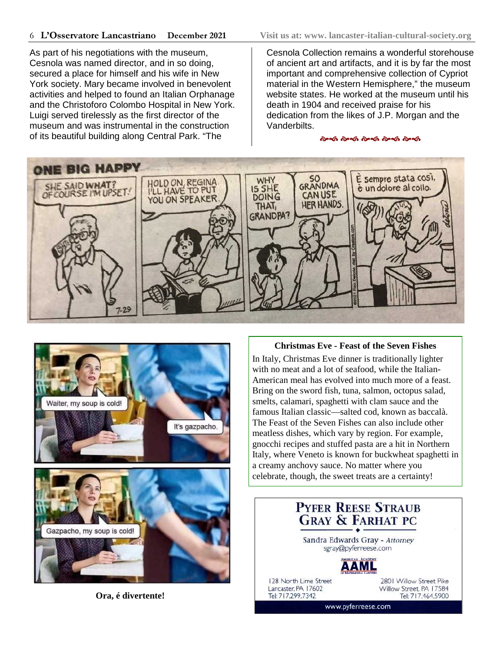As part of his negotiations with the museum, Cesnola was named director, and in so doing, secured a place for himself and his wife in New York society. Mary became involved in benevolent activities and helped to found an Italian Orphanage and the Christoforo Colombo Hospital in New York. Luigi served tirelessly as the first director of the museum and was instrumental in the construction of its beautiful building along Central Park. "The

Cesnola Collection remains a wonderful storehouse of ancient art and artifacts, and it is by far the most important and comprehensive collection of Cypriot material in the Western Hemisphere," the museum website states. He worked at the museum until his death in 1904 and received praise for his dedication from the likes of J.P. Morgan and the Vanderbilts.

.<br>જિલ્લી જેલ્લી જેલ્લી જેલ્લી જેલ્લી





**Ora, é divertente!**

#### **Christmas Eve - Feast of the Seven Fishes**

In Italy, Christmas Eve dinner is traditionally lighter with no meat and a lot of seafood, while the Italian-American meal has evolved into much more of a feast. Bring on the sword fish, tuna, salmon, octopus salad, smelts, calamari, spaghetti with clam sauce and the famous Italian classic—salted cod, known as baccalà. The Feast of the Seven Fishes can also include other meatless dishes, which vary by region. For example, gnocchi recipes and stuffed pasta are a hit in Northern Italy, where Veneto is known for buckwheat spaghetti in a creamy anchovy sauce. No matter where you celebrate, though, the sweet treats are a certainty!

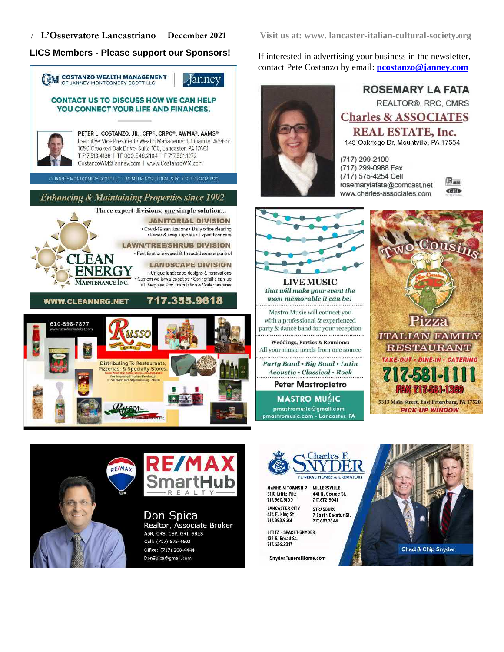# **LICS Members - Please support our Sponsors!** If interested in advertising your business in the newsletter,



contact Pete Costanzo by email: **pcostanzo@janney.com**



**ROSEMARY LA FATA REALTOR®, RRC, CMRS Charles & ASSOCIATES REAL ESTATE, Inc.** 145 Oakridge Dr, Mountville, PA 17554

(717) 299-2100 (717) 299-0988 Fax (717) 575-4254 Cell rosemarylafata@comcast.net www.charles-associates.com





**MASTRO MUGIC** pmastromusic@gmail.com pmastromusic.com · Lancaster, PA







Don Spica Realtor, Associate Broker ABR, CRS, CSP, GRI, SRES Cell: (717) 575-4603 Office: (717) 208-4444 DonSpica@gmail.com



**MANHEIM TOWNSHIP** MILLERSVILLE 3110 Lititz Pike 441 N. George St. 717.560.5100 717.872.5041 **LANCASTER CITY STRASBURG** 

414 E. King St.<br>717.393.9661 717.687.7644 LITITZ - SPACHT-SNYDER 127 S. Broad St.

717.626.2317

SnyderFuneralHome.com